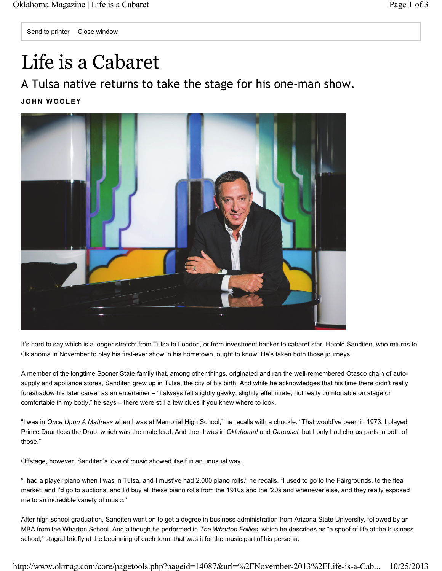## Life is a Cabaret

A Tulsa native returns to take the stage for his one-man show.

**JOHN WOOLEY**



It's hard to say which is a longer stretch: from Tulsa to London, or from investment banker to cabaret star. Harold Sanditen, who returns to Oklahoma in November to play his first-ever show in his hometown, ought to know. He's taken both those journeys.

A member of the longtime Sooner State family that, among other things, originated and ran the well-remembered Otasco chain of autosupply and appliance stores, Sanditen grew up in Tulsa, the city of his birth. And while he acknowledges that his time there didn't really foreshadow his later career as an entertainer – "I always felt slightly gawky, slightly effeminate, not really comfortable on stage or comfortable in my body," he says – there were still a few clues if you knew where to look.

"I was in *Once Upon A Mattress* when I was at Memorial High School," he recalls with a chuckle. "That would've been in 1973. I played Prince Dauntless the Drab, which was the male lead. And then I was in *Oklahoma!* and *Carousel*, but I only had chorus parts in both of those."

Offstage, however, Sanditen's love of music showed itself in an unusual way.

"I had a player piano when I was in Tulsa, and I must've had 2,000 piano rolls," he recalls. "I used to go to the Fairgrounds, to the flea market, and I'd go to auctions, and I'd buy all these piano rolls from the 1910s and the '20s and whenever else, and they really exposed me to an incredible variety of music."

After high school graduation, Sanditen went on to get a degree in business administration from Arizona State University, followed by an MBA from the Wharton School. And although he performed in *The Wharton Follies*, which he describes as "a spoof of life at the business school," staged briefly at the beginning of each term, that was it for the music part of his persona.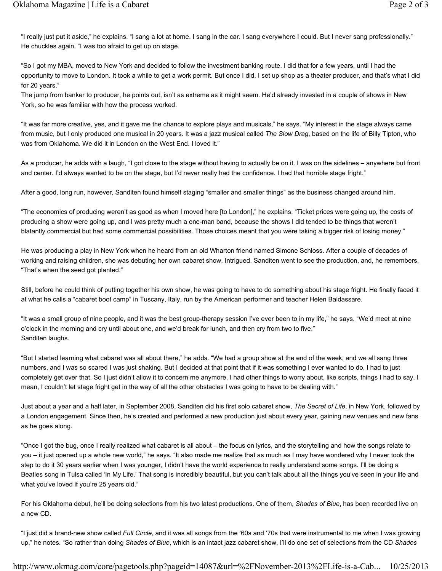"I really just put it aside," he explains. "I sang a lot at home. I sang in the car. I sang everywhere I could. But I never sang professionally." He chuckles again. "I was too afraid to get up on stage.

"So I got my MBA, moved to New York and decided to follow the investment banking route. I did that for a few years, until I had the opportunity to move to London. It took a while to get a work permit. But once I did, I set up shop as a theater producer, and that's what I did for 20 years."

The jump from banker to producer, he points out, isn't as extreme as it might seem. He'd already invested in a couple of shows in New York, so he was familiar with how the process worked.

"It was far more creative, yes, and it gave me the chance to explore plays and musicals," he says. "My interest in the stage always came from music, but I only produced one musical in 20 years. It was a jazz musical called *The Slow Drag*, based on the life of Billy Tipton, who was from Oklahoma. We did it in London on the West End. I loved it."

As a producer, he adds with a laugh, "I got close to the stage without having to actually be on it. I was on the sidelines – anywhere but front and center. I'd always wanted to be on the stage, but I'd never really had the confidence. I had that horrible stage fright."

After a good, long run, however, Sanditen found himself staging "smaller and smaller things" as the business changed around him.

"The economics of producing weren't as good as when I moved here [to London]," he explains. "Ticket prices were going up, the costs of producing a show were going up, and I was pretty much a one-man band, because the shows I did tended to be things that weren't blatantly commercial but had some commercial possibilities. Those choices meant that you were taking a bigger risk of losing money."

He was producing a play in New York when he heard from an old Wharton friend named Simone Schloss. After a couple of decades of working and raising children, she was debuting her own cabaret show. Intrigued, Sanditen went to see the production, and, he remembers, "That's when the seed got planted."

Still, before he could think of putting together his own show, he was going to have to do something about his stage fright. He finally faced it at what he calls a "cabaret boot camp" in Tuscany, Italy, run by the American performer and teacher Helen Baldassare.

"It was a small group of nine people, and it was the best group-therapy session I've ever been to in my life," he says. "We'd meet at nine o'clock in the morning and cry until about one, and we'd break for lunch, and then cry from two to five." Sanditen laughs.

"But I started learning what cabaret was all about there," he adds. "We had a group show at the end of the week, and we all sang three numbers, and I was so scared I was just shaking. But I decided at that point that if it was something I ever wanted to do, I had to just completely get over that. So I just didn't allow it to concern me anymore. I had other things to worry about, like scripts, things I had to say. I mean, I couldn't let stage fright get in the way of all the other obstacles I was going to have to be dealing with."

Just about a year and a half later, in September 2008, Sanditen did his first solo cabaret show, *The Secret of Life*, in New York, followed by a London engagement. Since then, he's created and performed a new production just about every year, gaining new venues and new fans as he goes along.

"Once I got the bug, once I really realized what cabaret is all about – the focus on lyrics, and the storytelling and how the songs relate to you – it just opened up a whole new world," he says. "It also made me realize that as much as I may have wondered why I never took the step to do it 30 years earlier when I was younger, I didn't have the world experience to really understand some songs. I'll be doing a Beatles song in Tulsa called 'In My Life.' That song is incredibly beautiful, but you can't talk about all the things you've seen in your life and what you've loved if you're 25 years old."

For his Oklahoma debut, he'll be doing selections from his two latest productions. One of them, *Shades of Blue*, has been recorded live on a new CD.

"I just did a brand-new show called *Full Circle*, and it was all songs from the '60s and '70s that were instrumental to me when I was growing up," he notes. "So rather than doing *Shades of Blue*, which is an intact jazz cabaret show, I'll do one set of selections from the CD *Shades* 

http://www.okmag.com/core/pagetools.php?pageid=14087&url=%2FNovember-2013%2FLife-is-a-Cab... 10/25/2013